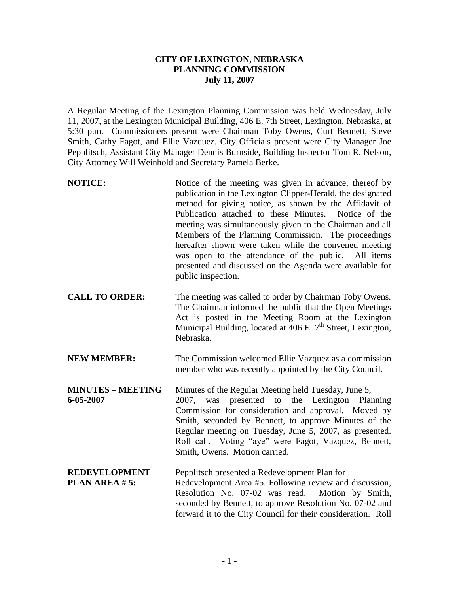## **CITY OF LEXINGTON, NEBRASKA PLANNING COMMISSION July 11, 2007**

A Regular Meeting of the Lexington Planning Commission was held Wednesday, July 11, 2007, at the Lexington Municipal Building, 406 E. 7th Street, Lexington, Nebraska, at 5:30 p.m. Commissioners present were Chairman Toby Owens, Curt Bennett, Steve Smith, Cathy Fagot, and Ellie Vazquez. City Officials present were City Manager Joe Pepplitsch, Assistant City Manager Dennis Burnside, Building Inspector Tom R. Nelson, City Attorney Will Weinhold and Secretary Pamela Berke.

- **NOTICE:** Notice of the meeting was given in advance, thereof by publication in the Lexington Clipper-Herald, the designated method for giving notice, as shown by the Affidavit of Publication attached to these Minutes. Notice of the meeting was simultaneously given to the Chairman and all Members of the Planning Commission. The proceedings hereafter shown were taken while the convened meeting was open to the attendance of the public. All items presented and discussed on the Agenda were available for public inspection.
- **CALL TO ORDER:** The meeting was called to order by Chairman Toby Owens. The Chairman informed the public that the Open Meetings Act is posted in the Meeting Room at the Lexington Municipal Building, located at  $\overline{406}$  E. 7<sup>th</sup> Street, Lexington, Nebraska.
- **NEW MEMBER:** The Commission welcomed Ellie Vazquez as a commission member who was recently appointed by the City Council.
- **MINUTES MEETING** Minutes of the Regular Meeting held Tuesday, June 5, **6-05-2007** 2007, was presented to the Lexington Planning Commission for consideration and approval. Moved by Smith, seconded by Bennett, to approve Minutes of the Regular meeting on Tuesday, June 5, 2007, as presented. Roll call. Voting "aye" were Fagot, Vazquez, Bennett, Smith, Owens. Motion carried.
- **REDEVELOPMENT** Pepplitsch presented a Redevelopment Plan for **PLAN AREA #5:** Redevelopment Area #5. Following review and discussion, Resolution No. 07-02 was read. Motion by Smith, seconded by Bennett, to approve Resolution No. 07-02 and forward it to the City Council for their consideration. Roll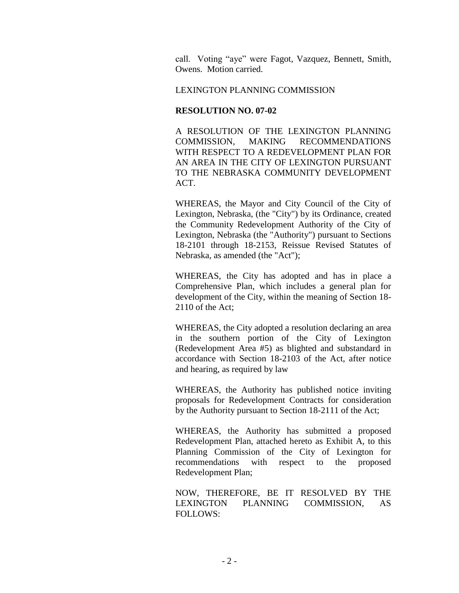call. Voting "aye" were Fagot, Vazquez, Bennett, Smith, Owens. Motion carried.

### LEXINGTON PLANNING COMMISSION

### **RESOLUTION NO. 07-02**

A RESOLUTION OF THE LEXINGTON PLANNING COMMISSION, MAKING RECOMMENDATIONS WITH RESPECT TO A REDEVELOPMENT PLAN FOR AN AREA IN THE CITY OF LEXINGTON PURSUANT TO THE NEBRASKA COMMUNITY DEVELOPMENT ACT.

WHEREAS, the Mayor and City Council of the City of Lexington, Nebraska, (the "City") by its Ordinance, created the Community Redevelopment Authority of the City of Lexington, Nebraska (the "Authority") pursuant to Sections 18-2101 through 18-2153, Reissue Revised Statutes of Nebraska, as amended (the "Act");

WHEREAS, the City has adopted and has in place a Comprehensive Plan, which includes a general plan for development of the City, within the meaning of Section 18- 2110 of the Act;

WHEREAS, the City adopted a resolution declaring an area in the southern portion of the City of Lexington (Redevelopment Area #5) as blighted and substandard in accordance with Section 18-2103 of the Act, after notice and hearing, as required by law

WHEREAS, the Authority has published notice inviting proposals for Redevelopment Contracts for consideration by the Authority pursuant to Section 18-2111 of the Act;

WHEREAS, the Authority has submitted a proposed Redevelopment Plan, attached hereto as Exhibit A, to this Planning Commission of the City of Lexington for recommendations with respect to the proposed Redevelopment Plan;

NOW, THEREFORE, BE IT RESOLVED BY THE LEXINGTON PLANNING COMMISSION, AS FOLLOWS: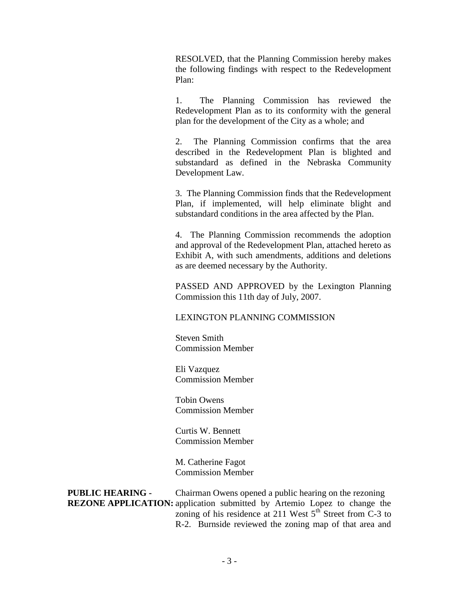RESOLVED, that the Planning Commission hereby makes the following findings with respect to the Redevelopment Plan:

1. The Planning Commission has reviewed the Redevelopment Plan as to its conformity with the general plan for the development of the City as a whole; and

2. The Planning Commission confirms that the area described in the Redevelopment Plan is blighted and substandard as defined in the Nebraska Community Development Law.

3. The Planning Commission finds that the Redevelopment Plan, if implemented, will help eliminate blight and substandard conditions in the area affected by the Plan.

4. The Planning Commission recommends the adoption and approval of the Redevelopment Plan, attached hereto as Exhibit A, with such amendments, additions and deletions as are deemed necessary by the Authority.

PASSED AND APPROVED by the Lexington Planning Commission this 11th day of July, 2007.

LEXINGTON PLANNING COMMISSION

Steven Smith Commission Member

Eli Vazquez Commission Member

Tobin Owens Commission Member

Curtis W. Bennett Commission Member

M. Catherine Fagot Commission Member

**PUBLIC HEARING -** Chairman Owens opened a public hearing on the rezoning **REZONE APPLICATION:** application submitted by Artemio Lopez to change the zoning of his residence at 211 West  $5<sup>th</sup>$  Street from C-3 to R-2. Burnside reviewed the zoning map of that area and